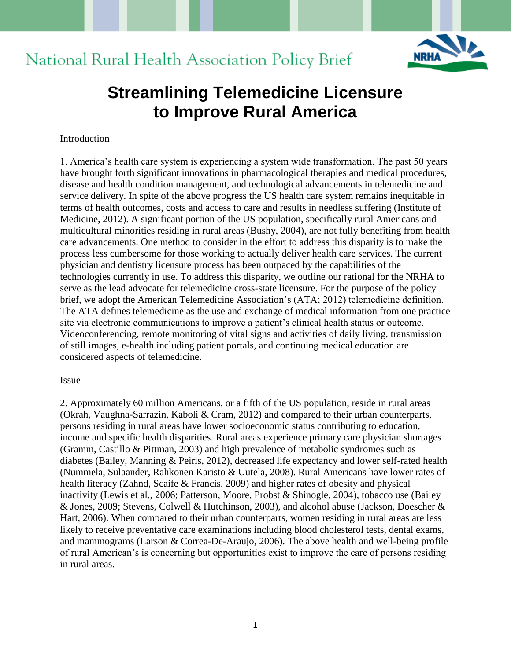

# National Rural Health Association Policy Brief

## **Streamlining Telemedicine Licensure to Improve Rural America**

#### Introduction

1. America's health care system is experiencing a system wide transformation. The past 50 years have brought forth significant innovations in pharmacological therapies and medical procedures, disease and health condition management, and technological advancements in telemedicine and service delivery. In spite of the above progress the US health care system remains inequitable in terms of health outcomes, costs and access to care and results in needless suffering (Institute of Medicine, 2012). A significant portion of the US population, specifically rural Americans and multicultural minorities residing in rural areas (Bushy, 2004), are not fully benefiting from health care advancements. One method to consider in the effort to address this disparity is to make the process less cumbersome for those working to actually deliver health care services. The current physician and dentistry licensure process has been outpaced by the capabilities of the technologies currently in use. To address this disparity, we outline our rational for the NRHA to serve as the lead advocate for telemedicine cross-state licensure. For the purpose of the policy brief, we adopt the American Telemedicine Association's (ATA; 2012) telemedicine definition. The ATA defines telemedicine as the use and exchange of medical information from one practice site via electronic communications to improve a patient's clinical health status or outcome. Videoconferencing, remote monitoring of vital signs and activities of daily living, transmission of still images, e-health including patient portals, and continuing medical education are considered aspects of telemedicine.

#### Issue

2. Approximately 60 million Americans, or a fifth of the US population, reside in rural areas (Okrah, Vaughna-Sarrazin, Kaboli & Cram, 2012) and compared to their urban counterparts, persons residing in rural areas have lower socioeconomic status contributing to education, income and specific health disparities. Rural areas experience primary care physician shortages (Gramm, Castillo & Pittman, 2003) and high prevalence of metabolic syndromes such as diabetes (Bailey, Manning & Peiris, 2012), decreased life expectancy and lower self-rated health (Nummela, Sulaander, Rahkonen Karisto & Uutela, 2008). Rural Americans have lower rates of health literacy (Zahnd, Scaife & Francis, 2009) and higher rates of obesity and physical inactivity (Lewis et al., 2006; Patterson, Moore, Probst & Shinogle, 2004), tobacco use (Bailey & Jones, 2009; Stevens, Colwell & Hutchinson, 2003), and alcohol abuse (Jackson, Doescher & Hart, 2006). When compared to their urban counterparts, women residing in rural areas are less likely to receive preventative care examinations including blood cholesterol tests, dental exams, and mammograms (Larson & Correa-De-Araujo, 2006). The above health and well-being profile of rural American's is concerning but opportunities exist to improve the care of persons residing in rural areas.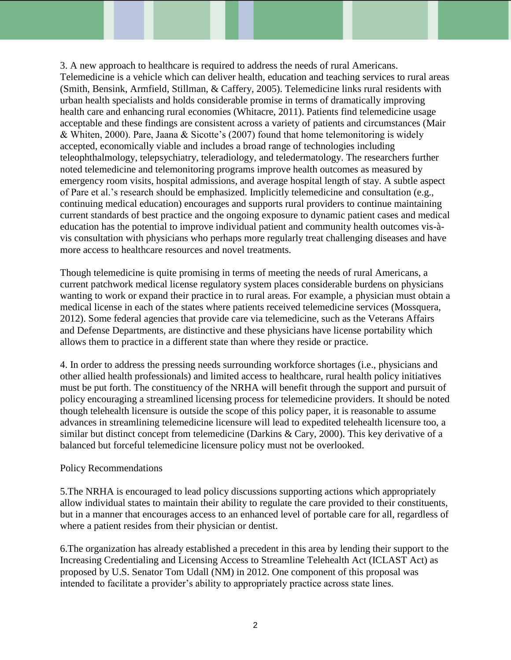3. A new approach to healthcare is required to address the needs of rural Americans. Telemedicine is a vehicle which can deliver health, education and teaching services to rural areas (Smith, Bensink, Armfield, Stillman, & Caffery, 2005). Telemedicine links rural residents with urban health specialists and holds considerable promise in terms of dramatically improving health care and enhancing rural economies (Whitacre, 2011). Patients find telemedicine usage acceptable and these findings are consistent across a variety of patients and circumstances (Mair & Whiten, 2000). Pare, Jaana & Sicotte's (2007) found that home telemonitoring is widely accepted, economically viable and includes a broad range of technologies including teleophthalmology, telepsychiatry, teleradiology, and teledermatology. The researchers further noted telemedicine and telemonitoring programs improve health outcomes as measured by emergency room visits, hospital admissions, and average hospital length of stay. A subtle aspect of Pare et al.'s research should be emphasized. Implicitly telemedicine and consultation (e.g., continuing medical education) encourages and supports rural providers to continue maintaining current standards of best practice and the ongoing exposure to dynamic patient cases and medical education has the potential to improve individual patient and community health outcomes vis-àvis consultation with physicians who perhaps more regularly treat challenging diseases and have more access to healthcare resources and novel treatments.

Though telemedicine is quite promising in terms of meeting the needs of rural Americans, a current patchwork medical license regulatory system places considerable burdens on physicians wanting to work or expand their practice in to rural areas. For example, a physician must obtain a medical license in each of the states where patients received telemedicine services (Mossquera, 2012). Some federal agencies that provide care via telemedicine, such as the Veterans Affairs and Defense Departments, are distinctive and these physicians have license portability which allows them to practice in a different state than where they reside or practice.

4. In order to address the pressing needs surrounding workforce shortages (i.e., physicians and other allied health professionals) and limited access to healthcare, rural health policy initiatives must be put forth. The constituency of the NRHA will benefit through the support and pursuit of policy encouraging a streamlined licensing process for telemedicine providers. It should be noted though telehealth licensure is outside the scope of this policy paper, it is reasonable to assume advances in streamlining telemedicine licensure will lead to expedited telehealth licensure too, a similar but distinct concept from telemedicine (Darkins & Cary, 2000). This key derivative of a balanced but forceful telemedicine licensure policy must not be overlooked.

## Policy Recommendations

5.The NRHA is encouraged to lead policy discussions supporting actions which appropriately allow individual states to maintain their ability to regulate the care provided to their constituents, but in a manner that encourages access to an enhanced level of portable care for all, regardless of where a patient resides from their physician or dentist.

6.The organization has already established a precedent in this area by lending their support to the Increasing Credentialing and Licensing Access to Streamline Telehealth Act (ICLAST Act) as proposed by U.S. Senator Tom Udall (NM) in 2012. One component of this proposal was intended to facilitate a provider's ability to appropriately practice across state lines.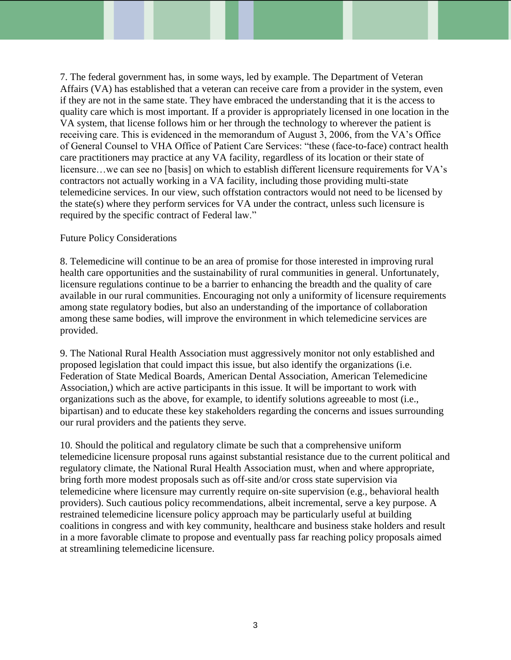7. The federal government has, in some ways, led by example. The Department of Veteran Affairs (VA) has established that a veteran can receive care from a provider in the system, even if they are not in the same state. They have embraced the understanding that it is the access to quality care which is most important. If a provider is appropriately licensed in one location in the VA system, that license follows him or her through the technology to wherever the patient is receiving care. This is evidenced in the memorandum of August 3, 2006, from the VA's Office of General Counsel to VHA Office of Patient Care Services: "these (face-to-face) contract health care practitioners may practice at any VA facility, regardless of its location or their state of licensure…we can see no [basis] on which to establish different licensure requirements for VA's contractors not actually working in a VA facility, including those providing multi-state telemedicine services. In our view, such offstation contractors would not need to be licensed by the state(s) where they perform services for VA under the contract, unless such licensure is required by the specific contract of Federal law."

## Future Policy Considerations

8. Telemedicine will continue to be an area of promise for those interested in improving rural health care opportunities and the sustainability of rural communities in general. Unfortunately, licensure regulations continue to be a barrier to enhancing the breadth and the quality of care available in our rural communities. Encouraging not only a uniformity of licensure requirements among state regulatory bodies, but also an understanding of the importance of collaboration among these same bodies, will improve the environment in which telemedicine services are provided.

9. The National Rural Health Association must aggressively monitor not only established and proposed legislation that could impact this issue, but also identify the organizations (i.e. Federation of State Medical Boards, American Dental Association, American Telemedicine Association,) which are active participants in this issue. It will be important to work with organizations such as the above, for example, to identify solutions agreeable to most (i.e., bipartisan) and to educate these key stakeholders regarding the concerns and issues surrounding our rural providers and the patients they serve.

10. Should the political and regulatory climate be such that a comprehensive uniform telemedicine licensure proposal runs against substantial resistance due to the current political and regulatory climate, the National Rural Health Association must, when and where appropriate, bring forth more modest proposals such as off-site and/or cross state supervision via telemedicine where licensure may currently require on-site supervision (e.g., behavioral health providers). Such cautious policy recommendations, albeit incremental, serve a key purpose. A restrained telemedicine licensure policy approach may be particularly useful at building coalitions in congress and with key community, healthcare and business stake holders and result in a more favorable climate to propose and eventually pass far reaching policy proposals aimed at streamlining telemedicine licensure.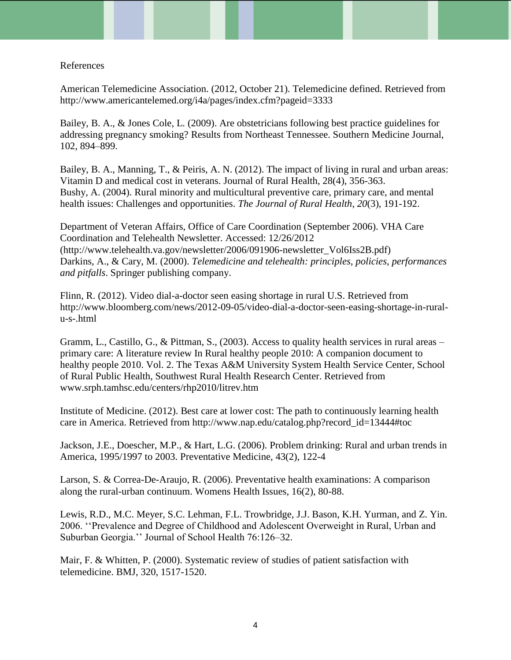#### References

American Telemedicine Association. (2012, October 21). Telemedicine defined. Retrieved from http://www.americantelemed.org/i4a/pages/index.cfm?pageid=3333

Bailey, B. A., & Jones Cole, L. (2009). Are obstetricians following best practice guidelines for addressing pregnancy smoking? Results from Northeast Tennessee. Southern Medicine Journal, 102, 894–899.

Bailey, B. A., Manning, T., & Peiris, A. N. (2012). The impact of living in rural and urban areas: Vitamin D and medical cost in veterans. Journal of Rural Health, 28(4), 356-363. Bushy, A. (2004). Rural minority and multicultural preventive care, primary care, and mental health issues: Challenges and opportunities. *The Journal of Rural Health*, *20*(3), 191-192.

Department of Veteran Affairs, Office of Care Coordination (September 2006). VHA Care Coordination and Telehealth Newsletter. Accessed: 12/26/2012 (http://www.telehealth.va.gov/newsletter/2006/091906-newsletter\_Vol6Iss2B.pdf) Darkins, A., & Cary, M. (2000). *Telemedicine and telehealth: principles, policies, performances and pitfalls*. Springer publishing company.

Flinn, R. (2012). Video dial-a-doctor seen easing shortage in rural U.S. Retrieved from http://www.bloomberg.com/news/2012-09-05/video-dial-a-doctor-seen-easing-shortage-in-ruralu-s-.html

Gramm, L., Castillo, G., & Pittman, S., (2003). Access to quality health services in rural areas – primary care: A literature review In Rural healthy people 2010: A companion document to healthy people 2010. Vol. 2. The Texas A&M University System Health Service Center, School of Rural Public Health, Southwest Rural Health Research Center. Retrieved from www.srph.tamhsc.edu/centers/rhp2010/litrev.htm

Institute of Medicine. (2012). Best care at lower cost: The path to continuously learning health care in America. Retrieved from http://www.nap.edu/catalog.php?record\_id=13444#toc

Jackson, J.E., Doescher, M.P., & Hart, L.G. (2006). Problem drinking: Rural and urban trends in America, 1995/1997 to 2003. Preventative Medicine, 43(2), 122-4

Larson, S. & Correa-De-Araujo, R. (2006). Preventative health examinations: A comparison along the rural-urban continuum. Womens Health Issues, 16(2), 80-88.

Lewis, R.D., M.C. Meyer, S.C. Lehman, F.L. Trowbridge, J.J. Bason, K.H. Yurman, and Z. Yin. 2006. ''Prevalence and Degree of Childhood and Adolescent Overweight in Rural, Urban and Suburban Georgia.'' Journal of School Health 76:126–32.

Mair, F. & Whitten, P. (2000). Systematic review of studies of patient satisfaction with telemedicine. BMJ, 320, 1517-1520.